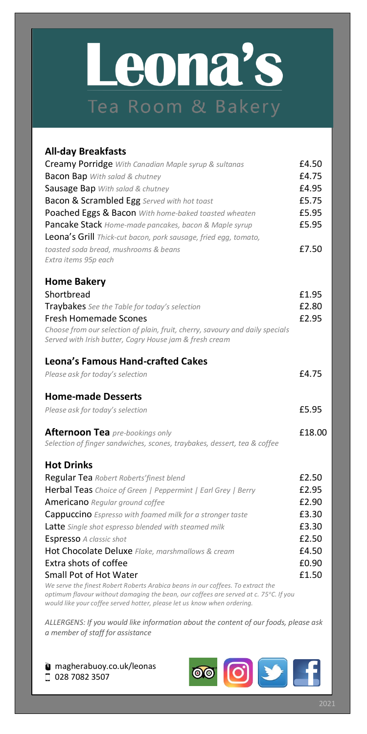## Leona's Tea Room & Bakery

| <b>All-day Breakfasts</b>                                                                                                                                               |        |
|-------------------------------------------------------------------------------------------------------------------------------------------------------------------------|--------|
| Creamy Porridge With Canadian Maple syrup & sultanas                                                                                                                    | £4.50  |
| <b>Bacon Bap</b> With salad & chutney                                                                                                                                   | £4.75  |
| Sausage Bap With salad & chutney                                                                                                                                        | £4.95  |
| <b>Bacon &amp; Scrambled Egg</b> Served with hot toast                                                                                                                  | £5.75  |
| Poached Eggs & Bacon With home-baked toasted wheaten                                                                                                                    | £5.95  |
| Pancake Stack Home-made pancakes, bacon & Maple syrup                                                                                                                   | £5.95  |
| Leona's Grill Thick-cut bacon, pork sausage, fried egg, tomato,                                                                                                         |        |
| toasted soda bread, mushrooms & beans                                                                                                                                   | £7.50  |
| Extra items 95p each                                                                                                                                                    |        |
| <b>Home Bakery</b>                                                                                                                                                      |        |
| Shortbread                                                                                                                                                              | £1.95  |
| Traybakes See the Table for today's selection                                                                                                                           | £2.80  |
| <b>Fresh Homemade Scones</b>                                                                                                                                            | £2.95  |
| Choose from our selection of plain, fruit, cherry, savoury and daily specials                                                                                           |        |
| Served with Irish butter, Cogry House jam & fresh cream                                                                                                                 |        |
| <b>Leona's Famous Hand-crafted Cakes</b>                                                                                                                                |        |
| Please ask for today's selection                                                                                                                                        | £4.75  |
| <b>Home-made Desserts</b>                                                                                                                                               |        |
| Please ask for today's selection                                                                                                                                        | £5.95  |
| <b>Afternoon Tea</b> pre-bookings only                                                                                                                                  | £18.00 |
| Selection of finger sandwiches, scones, traybakes, dessert, tea & coffee                                                                                                |        |
| <b>Hot Drinks</b>                                                                                                                                                       |        |
| Regular Tea Robert Roberts' finest blend                                                                                                                                | £2.50  |
| Herbal Teas Choice of Green   Peppermint   Earl Grey   Berry                                                                                                            | £2.95  |
| Americano Regular ground coffee                                                                                                                                         | £2.90  |
| Cappuccino Espresso with foamed milk for a stronger taste                                                                                                               | £3.30  |
| Latte Single shot espresso blended with steamed milk                                                                                                                    | £3.30  |
| Espresso A classic shot                                                                                                                                                 | £2.50  |
| Hot Chocolate Deluxe Flake, marshmallows & cream                                                                                                                        | £4.50  |
| Extra shots of coffee                                                                                                                                                   | £0.90  |
| Small Pot of Hot Water                                                                                                                                                  | £1.50  |
| We serve the finest Robert Roberts Arabica beans in our coffees. To extract the<br>optimum flavour without damaging the bean, our coffees are served at c. 75°C. If you |        |

*would like your coffee served hotter, please let us know when ordering.*

*ALLERGENS: If you would like information about the content of our foods, please ask a member of staff for assistance*

magherabuoy.co.uk/leonas □ 028 7082 3507